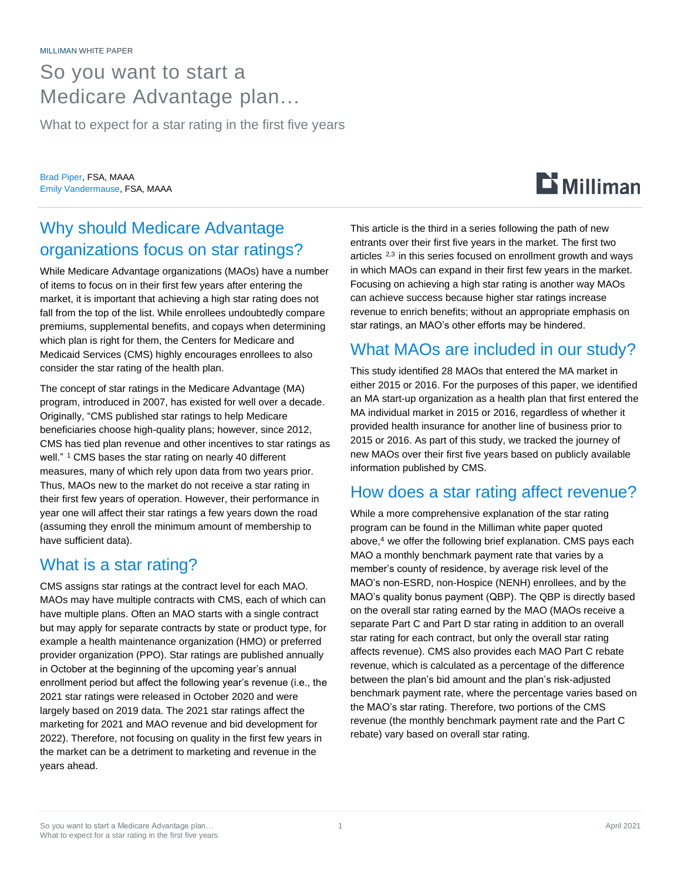# So you want to start a Medicare Advantage plan…

What to expect for a star rating in the first five years

Brad Piper, FSA, MAAA Emily Vandermause, FSA, MAAA

## Why should Medicare Advantage organizations focus on star ratings?

While Medicare Advantage organizations (MAOs) have a number of items to focus on in their first few years after entering the market, it is important that achieving a high star rating does not fall from the top of the list. While enrollees undoubtedly compare premiums, supplemental benefits, and copays when determining which plan is right for them, the Centers for Medicare and Medicaid Services (CMS) highly encourages enrollees to also consider the star rating of the health plan.

The concept of star ratings in the Medicare Advantage (MA) program, introduced in 2007, has existed for well over a decade. Originally, "CMS published star ratings to help Medicare beneficiaries choose high-quality plans; however, since 2012, CMS has tied plan revenue and other incentives to star ratings as well."<sup>1</sup> CMS bases the star rating on nearly 40 different measures, many of which rely upon data from two years prior. Thus, MAOs new to the market do not receive a star rating in their first few years of operation. However, their performance in year one will affect their star ratings a few years down the road (assuming they enroll the minimum amount of membership to have sufficient data).

### What is a star rating?

CMS assigns star ratings at the contract level for each MAO. MAOs may have multiple contracts with CMS, each of which can have multiple plans. Often an MAO starts with a single contract but may apply for separate contracts by state or product type, for example a health maintenance organization (HMO) or preferred provider organization (PPO). Star ratings are published annually in October at the beginning of the upcoming year's annual enrollment period but affect the following year's revenue (i.e., the 2021 star ratings were released in October 2020 and were largely based on 2019 data. The 2021 star ratings affect the marketing for 2021 and MAO revenue and bid development for 2022). Therefore, not focusing on quality in the first few years in the market can be a detriment to marketing and revenue in the years ahead.

This article is the third in a series following the path of new entrants over their first five years in the market. The first two articles  $2,3$  in this series focused on enrollment growth and ways in which MAOs can expand in their first few years in the market. Focusing on achieving a high star rating is another way MAOs can achieve success because higher star ratings increase revenue to enrich benefits; without an appropriate emphasis on star ratings, an MAO's other efforts may be hindered.

### What MAOs are included in our study?

This study identified 28 MAOs that entered the MA market in either 2015 or 2016. For the purposes of this paper, we identified an MA start-up organization as a health plan that first entered the MA individual market in 2015 or 2016, regardless of whether it provided health insurance for another line of business prior to 2015 or 2016. As part of this study, we tracked the journey of new MAOs over their first five years based on publicly available information published by CMS.

### How does a star rating affect revenue?

While a more comprehensive explanation of the star rating program can be found in the Milliman white paper quoted above,<sup>4</sup> we offer the following brief explanation. CMS pays each MAO a monthly benchmark payment rate that varies by a member's county of residence, by average risk level of the MAO's non-ESRD, non-Hospice (NENH) enrollees, and by the MAO's quality bonus payment (QBP). The QBP is directly based on the overall star rating earned by the MAO (MAOs receive a separate Part C and Part D star rating in addition to an overall star rating for each contract, but only the overall star rating affects revenue). CMS also provides each MAO Part C rebate revenue, which is calculated as a percentage of the difference between the plan's bid amount and the plan's risk-adjusted benchmark payment rate, where the percentage varies based on the MAO's star rating. Therefore, two portions of the CMS revenue (the monthly benchmark payment rate and the Part C rebate) vary based on overall star rating.

 $\mathbf{D}$  Milliman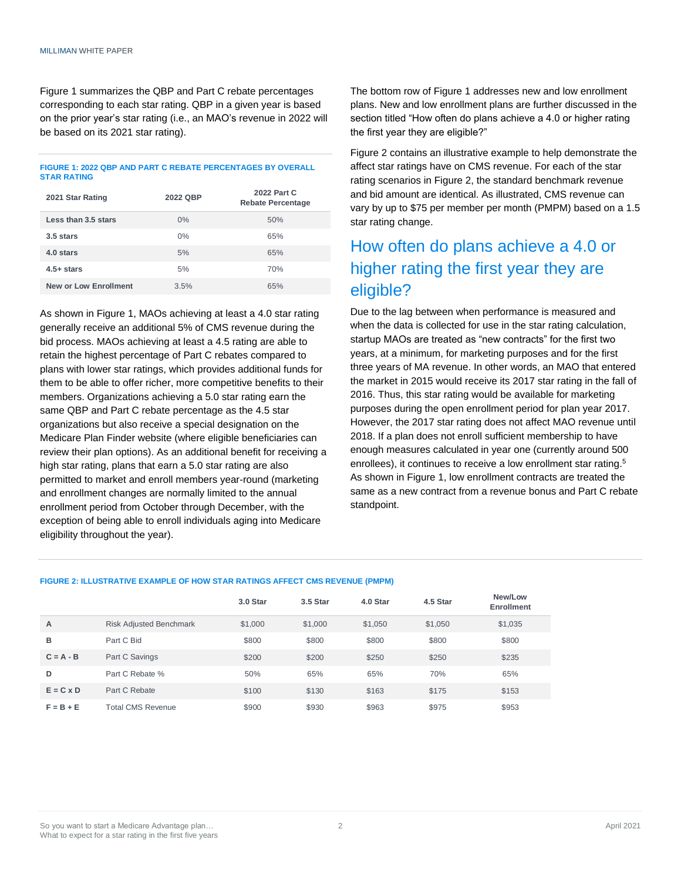Figure 1 summarizes the QBP and Part C rebate percentages corresponding to each star rating. QBP in a given year is based on the prior year's star rating (i.e., an MAO's revenue in 2022 will be based on its 2021 star rating).

#### **FIGURE 1: 2022 QBP AND PART C REBATE PERCENTAGES BY OVERALL STAR RATING**

| 2021 Star Rating             | 2022 QBP | 2022 Part C<br><b>Rebate Percentage</b> |  |  |  |  |
|------------------------------|----------|-----------------------------------------|--|--|--|--|
| Less than 3.5 stars          | $0\%$    | 50%                                     |  |  |  |  |
| 3.5 stars                    | $0\%$    | 65%                                     |  |  |  |  |
| 4.0 stars                    | 5%       | 65%                                     |  |  |  |  |
| $4.5+stars$                  | 5%       | 70%                                     |  |  |  |  |
| <b>New or Low Enrollment</b> | 3.5%     | 65%                                     |  |  |  |  |

As shown in Figure 1, MAOs achieving at least a 4.0 star rating generally receive an additional 5% of CMS revenue during the bid process. MAOs achieving at least a 4.5 rating are able to retain the highest percentage of Part C rebates compared to plans with lower star ratings, which provides additional funds for them to be able to offer richer, more competitive benefits to their members. Organizations achieving a 5.0 star rating earn the same QBP and Part C rebate percentage as the 4.5 star organizations but also receive a special designation on the Medicare Plan Finder website (where eligible beneficiaries can review their plan options). As an additional benefit for receiving a high star rating, plans that earn a 5.0 star rating are also permitted to market and enroll members year-round (marketing and enrollment changes are normally limited to the annual enrollment period from October through December, with the exception of being able to enroll individuals aging into Medicare eligibility throughout the year).

The bottom row of Figure 1 addresses new and low enrollment plans. New and low enrollment plans are further discussed in the section titled "How often do plans achieve a 4.0 or higher rating the first year they are eligible?"

Figure 2 contains an illustrative example to help demonstrate the affect star ratings have on CMS revenue. For each of the star rating scenarios in Figure 2, the standard benchmark revenue and bid amount are identical. As illustrated, CMS revenue can vary by up to \$75 per member per month (PMPM) based on a 1.5 star rating change.

### How often do plans achieve a 4.0 or higher rating the first year they are eligible?

Due to the lag between when performance is measured and when the data is collected for use in the star rating calculation, startup MAOs are treated as "new contracts" for the first two years, at a minimum, for marketing purposes and for the first three years of MA revenue. In other words, an MAO that entered the market in 2015 would receive its 2017 star rating in the fall of 2016. Thus, this star rating would be available for marketing purposes during the open enrollment period for plan year 2017. However, the 2017 star rating does not affect MAO revenue until 2018. If a plan does not enroll sufficient membership to have enough measures calculated in year one (currently around 500 enrollees), it continues to receive a low enrollment star rating.<sup>5</sup> As shown in Figure 1, low enrollment contracts are treated the same as a new contract from a revenue bonus and Part C rebate standpoint.

#### **FIGURE 2: ILLUSTRATIVE EXAMPLE OF HOW STAR RATINGS AFFECT CMS REVENUE (PMPM)**

|                  |                                | 3.0 Star | 3.5 Star | 4.0 Star | 4.5 Star | New/Low<br><b>Enrollment</b> |
|------------------|--------------------------------|----------|----------|----------|----------|------------------------------|
| A                | <b>Risk Adjusted Benchmark</b> | \$1,000  | \$1,000  | \$1,050  | \$1,050  | \$1,035                      |
| в                | Part C Bid                     | \$800    | \$800    | \$800    | \$800    | \$800                        |
| $C = A - B$      | Part C Savings                 | \$200    | \$200    | \$250    | \$250    | \$235                        |
| D                | Part C Rebate %                | 50%      | 65%      | 65%      | 70%      | 65%                          |
| $E = C \times D$ | Part C Rebate                  | \$100    | \$130    | \$163    | \$175    | \$153                        |
| $F = B + E$      | <b>Total CMS Revenue</b>       | \$900    | \$930    | \$963    | \$975    | \$953                        |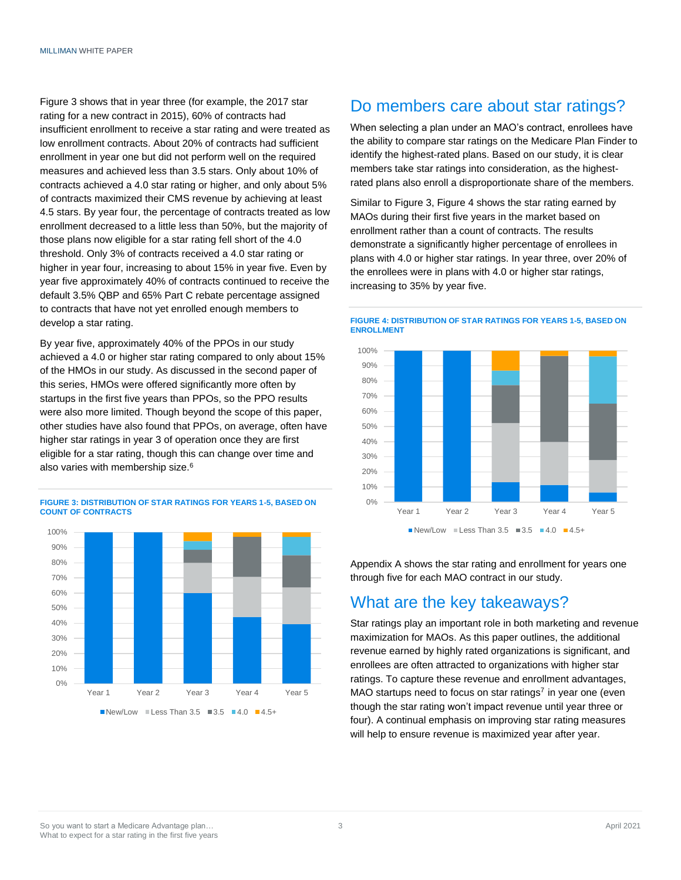Figure 3 shows that in year three (for example, the 2017 star rating for a new contract in 2015), 60% of contracts had insufficient enrollment to receive a star rating and were treated as low enrollment contracts. About 20% of contracts had sufficient enrollment in year one but did not perform well on the required measures and achieved less than 3.5 stars. Only about 10% of contracts achieved a 4.0 star rating or higher, and only about 5% of contracts maximized their CMS revenue by achieving at least 4.5 stars. By year four, the percentage of contracts treated as low enrollment decreased to a little less than 50%, but the majority of those plans now eligible for a star rating fell short of the 4.0 threshold. Only 3% of contracts received a 4.0 star rating or higher in year four, increasing to about 15% in year five. Even by year five approximately 40% of contracts continued to receive the default 3.5% QBP and 65% Part C rebate percentage assigned to contracts that have not yet enrolled enough members to develop a star rating.

By year five, approximately 40% of the PPOs in our study achieved a 4.0 or higher star rating compared to only about 15% of the HMOs in our study. As discussed in the second paper of this series, HMOs were offered significantly more often by startups in the first five years than PPOs, so the PPO results were also more limited. Though beyond the scope of this paper, other studies have also found that PPOs, on average, often have higher star ratings in year 3 of operation once they are first eligible for a star rating, though this can change over time and also varies with membership size.<sup>6</sup>



#### **FIGURE 3: DISTRIBUTION OF STAR RATINGS FOR YEARS 1-5, BASED ON COUNT OF CONTRACTS**

### Do members care about star ratings?

When selecting a plan under an MAO's contract, enrollees have the ability to compare star ratings on the Medicare Plan Finder to identify the highest-rated plans. Based on our study, it is clear members take star ratings into consideration, as the highestrated plans also enroll a disproportionate share of the members.

Similar to Figure 3, Figure 4 shows the star rating earned by MAOs during their first five years in the market based on enrollment rather than a count of contracts. The results demonstrate a significantly higher percentage of enrollees in plans with 4.0 or higher star ratings. In year three, over 20% of the enrollees were in plans with 4.0 or higher star ratings, increasing to 35% by year five.

#### **FIGURE 4: DISTRIBUTION OF STAR RATINGS FOR YEARS 1-5, BASED ON ENROLLMENT**



Appendix A shows the star rating and enrollment for years one through five for each MAO contract in our study.

### What are the key takeaways?

Star ratings play an important role in both marketing and revenue maximization for MAOs. As this paper outlines, the additional revenue earned by highly rated organizations is significant, and enrollees are often attracted to organizations with higher star ratings. To capture these revenue and enrollment advantages, MAO startups need to focus on star ratings<sup>7</sup> in year one (even though the star rating won't impact revenue until year three or four). A continual emphasis on improving star rating measures will help to ensure revenue is maximized year after year.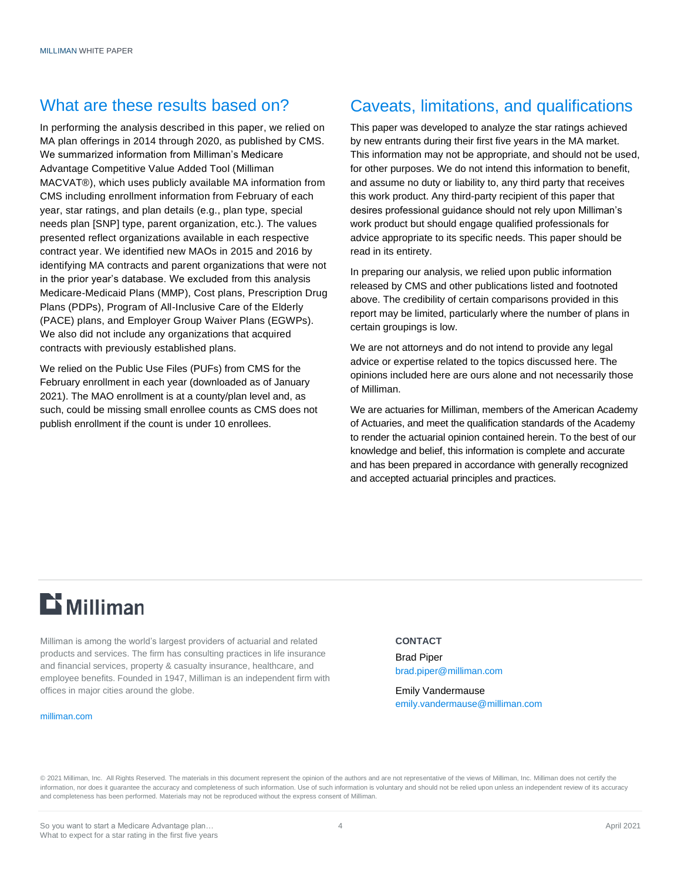### What are these results based on?

In performing the analysis described in this paper, we relied on MA plan offerings in 2014 through 2020, as published by CMS. We summarized information from Milliman's Medicare Advantage Competitive Value Added Tool (Milliman MACVAT®), which uses publicly available MA information from CMS including enrollment information from February of each year, star ratings, and plan details (e.g., plan type, special needs plan [SNP] type, parent organization, etc.). The values presented reflect organizations available in each respective contract year. We identified new MAOs in 2015 and 2016 by identifying MA contracts and parent organizations that were not in the prior year's database. We excluded from this analysis Medicare-Medicaid Plans (MMP), Cost plans, Prescription Drug Plans (PDPs), Program of All-Inclusive Care of the Elderly (PACE) plans, and Employer Group Waiver Plans (EGWPs). We also did not include any organizations that acquired contracts with previously established plans.

We relied on the Public Use Files (PUFs) from CMS for the February enrollment in each year (downloaded as of January 2021). The MAO enrollment is at a county/plan level and, as such, could be missing small enrollee counts as CMS does not publish enrollment if the count is under 10 enrollees.

### Caveats, limitations, and qualifications

This paper was developed to analyze the star ratings achieved by new entrants during their first five years in the MA market. This information may not be appropriate, and should not be used, for other purposes. We do not intend this information to benefit, and assume no duty or liability to, any third party that receives this work product. Any third-party recipient of this paper that desires professional guidance should not rely upon Milliman's work product but should engage qualified professionals for advice appropriate to its specific needs. This paper should be read in its entirety.

In preparing our analysis, we relied upon public information released by CMS and other publications listed and footnoted above. The credibility of certain comparisons provided in this report may be limited, particularly where the number of plans in certain groupings is low.

We are not attorneys and do not intend to provide any legal advice or expertise related to the topics discussed here. The opinions included here are ours alone and not necessarily those of Milliman.

We are actuaries for Milliman, members of the American Academy of Actuaries, and meet the qualification standards of the Academy to render the actuarial opinion contained herein. To the best of our knowledge and belief, this information is complete and accurate and has been prepared in accordance with generally recognized and accepted actuarial principles and practices.

# **Li** Milliman

Milliman is among the world's largest providers of actuarial and related products and services. The firm has consulting practices in life insurance and financial services, property & casualty insurance, healthcare, and employee benefits. Founded in 1947, Milliman is an independent firm with offices in major cities around the globe.

#### [milliman.com](http://www.milliman.com/)

#### **CONTACT**

Brad Piper [brad.piper@milliman.com](mailto:brad.piper@milliman.com)

Emily Vandermause emily.vandermause@milliman.com

© 2021 Milliman, Inc. All Rights Reserved. The materials in this document represent the opinion of the authors and are not representative of the views of Milliman, Inc. Milliman does not certify the information, nor does it guarantee the accuracy and completeness of such information. Use of such information is voluntary and should not be relied upon unless an independent review of its accuracy and completeness has been performed. Materials may not be reproduced without the express consent of Milliman.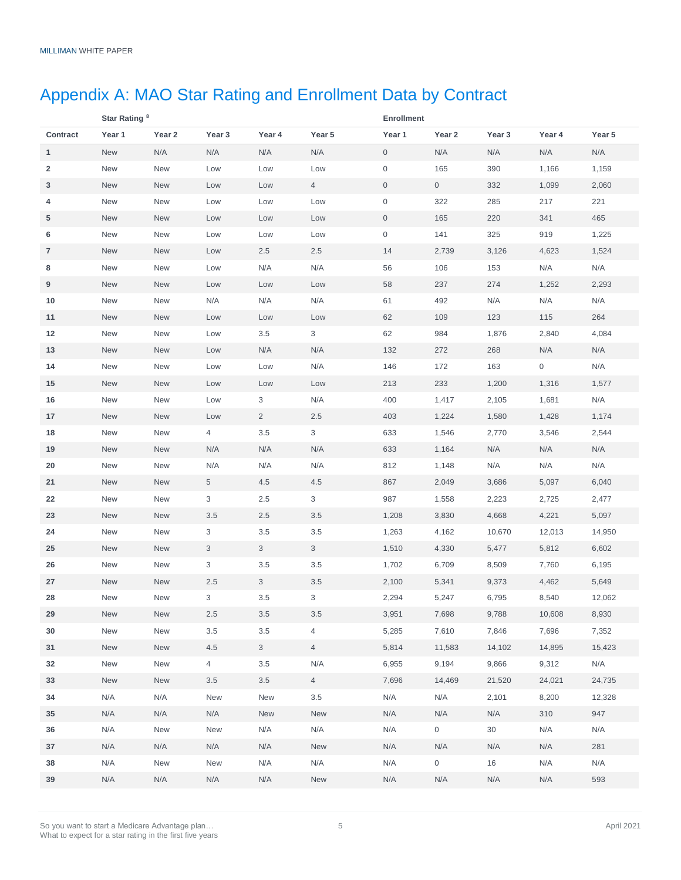# Appendix A: MAO Star Rating and Enrollment Data by Contract

|              | Star Rating <sup>8</sup> |        |                |                |                | <b>Enrollment</b> |                     |        |        |        |
|--------------|--------------------------|--------|----------------|----------------|----------------|-------------------|---------------------|--------|--------|--------|
| Contract     | Year 1                   | Year 2 | Year 3         | Year 4         | Year 5         | Year 1            | Year 2              | Year 3 | Year 4 | Year 5 |
| $\mathbf{1}$ | New                      | N/A    | N/A            | N/A            | N/A            | $\mathbf 0$       | N/A                 | N/A    | N/A    | N/A    |
| 2            | New                      | New    | Low            | Low            | Low            | 0                 | 165                 | 390    | 1,166  | 1,159  |
| 3            | <b>New</b>               | New    | Low            | Low            | 4              | 0                 | $\overline{0}$      | 332    | 1,099  | 2,060  |
| 4            | New                      | New    | Low            | Low            | Low            | 0                 | 322                 | 285    | 217    | 221    |
| 5            | <b>New</b>               | New    | Low            | Low            | Low            | 0                 | 165                 | 220    | 341    | 465    |
| 6            | <b>New</b>               | New    | Low            | Low            | Low            | 0                 | 141                 | 325    | 919    | 1,225  |
| 7            | <b>New</b>               | New    | Low            | 2.5            | 2.5            | 14                | 2,739               | 3,126  | 4,623  | 1,524  |
| 8            | <b>New</b>               | New    | Low            | N/A            | N/A            | 56                | 106                 | 153    | N/A    | N/A    |
| 9            | <b>New</b>               | New    | Low            | Low            | Low            | 58                | 237                 | 274    | 1,252  | 2,293  |
| 10           | <b>New</b>               | New    | N/A            | N/A            | N/A            | 61                | 492                 | N/A    | N/A    | N/A    |
| 11           | <b>New</b>               | New    | Low            | Low            | Low            | 62                | 109                 | 123    | 115    | 264    |
| 12           | <b>New</b>               | New    | Low            | 3.5            | 3              | 62                | 984                 | 1,876  | 2,840  | 4,084  |
| 13           | <b>New</b>               | New    | Low            | N/A            | N/A            | 132               | 272                 | 268    | N/A    | N/A    |
| 14           | New                      | New    | Low            | Low            | N/A            | 146               | 172                 | 163    | 0      | N/A    |
| 15           | <b>New</b>               | New    | Low            | Low            | Low            | 213               | 233                 | 1,200  | 1,316  | 1,577  |
| 16           | New                      | New    | Low            | 3              | N/A            | 400               | 1,417               | 2,105  | 1,681  | N/A    |
| 17           | <b>New</b>               | New    | Low            | $\overline{2}$ | 2.5            | 403               | 1,224               | 1,580  | 1,428  | 1,174  |
| 18           | <b>New</b>               | New    | 4              | $3.5\,$        | 3              | 633               | 1,546               | 2,770  | 3,546  | 2,544  |
| 19           | <b>New</b>               | New    | N/A            | N/A            | N/A            | 633               | 1,164               | N/A    | N/A    | N/A    |
| 20           | <b>New</b>               | New    | N/A            | N/A            | N/A            | 812               | 1,148               | N/A    | N/A    | N/A    |
| 21           | <b>New</b>               | New    | 5              | 4.5            | 4.5            | 867               | 2,049               | 3,686  | 5,097  | 6,040  |
| 22           | <b>New</b>               | New    | 3              | 2.5            | 3              | 987               | 1,558               | 2,223  | 2,725  | 2,477  |
| 23           | <b>New</b>               | New    | 3.5            | 2.5            | $3.5\,$        | 1,208             | 3,830               | 4,668  | 4,221  | 5,097  |
| 24           | New                      | New    | 3              | 3.5            | 3.5            | 1,263             | 4,162               | 10,670 | 12,013 | 14,950 |
| 25           | <b>New</b>               | New    | 3              | 3              | $\mathbf{3}$   | 1,510             | 4,330               | 5,477  | 5,812  | 6,602  |
| 26           | <b>New</b>               | New    | 3              | 3.5            | 3.5            | 1,702             | 6,709               | 8,509  | 7,760  | 6,195  |
| 27           | <b>New</b>               | New    | 2.5            | 3              | 3.5            | 2,100             | 5,341               | 9,373  | 4,462  | 5,649  |
| 28           | <b>New</b>               | New    | 3              | $3.5\,$        | 3              | 2,294             | 5,247               | 6,795  | 8,540  | 12,062 |
| 29           | New                      | New    | $2.5\,$        | 3.5            | 3.5            | 3,951             | 7,698               | 9,788  | 10,608 | 8,930  |
| 30           | New                      | New    | 3.5            | $3.5\,$        | 4              | 5,285             | 7,610               | 7,846  | 7,696  | 7,352  |
| 31           | New                      | New    | $4.5\,$        | $\mathbf{3}$   | $\overline{4}$ | 5,814             | 11,583              | 14,102 | 14,895 | 15,423 |
| 32           | New                      | New    | $\overline{4}$ | 3.5            | N/A            | 6,955             | 9,194               | 9,866  | 9,312  | N/A    |
| 33           | New                      | New    | 3.5            | 3.5            | $\overline{4}$ | 7,696             | 14,469              | 21,520 | 24,021 | 24,735 |
| 34           | N/A                      | N/A    | New            | New            | $3.5\,$        | N/A               | N/A                 | 2,101  | 8,200  | 12,328 |
| 35           | N/A                      | N/A    | N/A            | New            | <b>New</b>     | N/A               | N/A                 | N/A    | 310    | 947    |
| 36           | N/A                      | New    | New            | N/A            | N/A            | N/A               | $\overline{0}$      | 30     | N/A    | N/A    |
| 37           | N/A                      | N/A    | N/A            | N/A            | New            | N/A               | N/A                 | N/A    | N/A    | 281    |
| 38           | N/A                      | New    | New            | N/A            | N/A            | N/A               | $\mathsf{O}\xspace$ | 16     | N/A    | N/A    |
| 39           | N/A                      | N/A    | N/A            | N/A            | New            | N/A               | N/A                 | N/A    | N/A    | 593    |